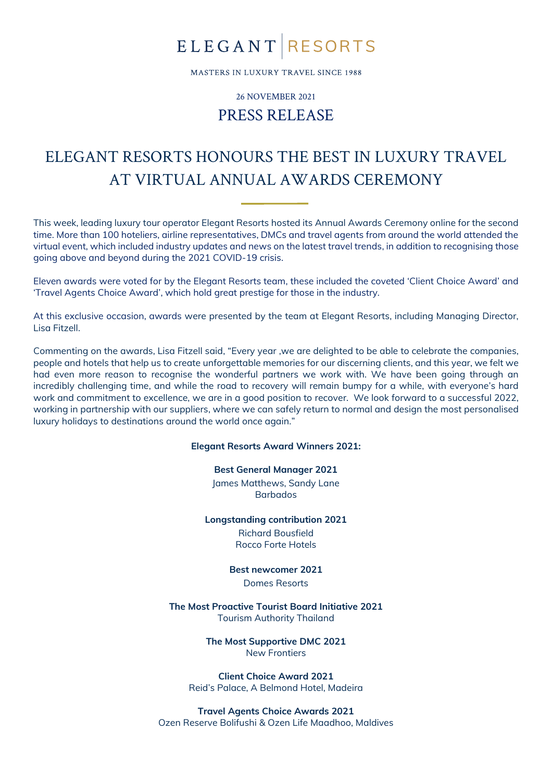## **ELEGANT RESORTS**

MASTERS IN LUXURY TRAVEL SINCE 1988

26 NOVEMBER 2021

### PRESS RELEASE

### ELEGANT RESORTS HONOURS THE BEST IN LUXURY TRAVEL AT VIRTUAL ANNUAL AWARDS CEREMONY

This week, leading luxury tour operator Elegant Resorts hosted its Annual Awards Ceremony online for the second time. More than 100 hoteliers, airline representatives, DMCs and travel agents from around the world attended the virtual event, which included industry updates and news on the latest travel trends, in addition to recognising those going above and beyond during the 2021 COVID-19 crisis.

Eleven awards were voted for by the Elegant Resorts team, these included the coveted 'Client Choice Award' and 'Travel Agents Choice Award', which hold great prestige for those in the industry.

At this exclusive occasion, awards were presented by the team at Elegant Resorts, including Managing Director, Lisa Fitzell.

Commenting on the awards, Lisa Fitzell said, "Every year ,we are delighted to be able to celebrate the companies, people and hotels that help us to create unforgettable memories for our discerning clients, and this year, we felt we had even more reason to recognise the wonderful partners we work with. We have been going through an incredibly challenging time, and while the road to recovery will remain bumpy for a while, with everyone's hard work and commitment to excellence, we are in a good position to recover. We look forward to a successful 2022, working in partnership with our suppliers, where we can safely return to normal and design the most personalised luxury holidays to destinations around the world once again."

#### **Elegant Resorts Award Winners 2021:**

**Best General Manager 2021**

James Matthews, Sandy Lane Barbados

**Longstanding contribution 2021**

Richard Bousfield Rocco Forte Hotels

**Best newcomer 2021** Domes Resorts

**The Most Proactive Tourist Board Initiative 2021** Tourism Authority Thailand

> **The Most Supportive DMC 2021** New Frontiers

**Client Choice Award 2021** Reid's Palace, A Belmond Hotel, Madeira

**Travel Agents Choice Awards 2021** Ozen Reserve Bolifushi & Ozen Life Maadhoo, Maldives